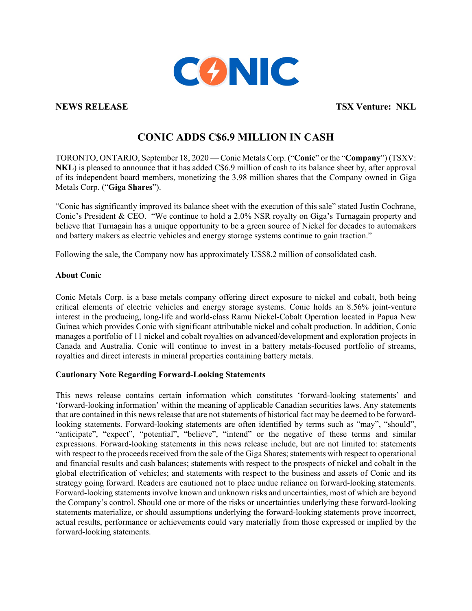

**NEWS RELEASE TSX Venture: NKL** 

## **CONIC ADDS C\$6.9 MILLION IN CASH**

TORONTO, ONTARIO, September 18, 2020 — Conic Metals Corp. ("**Conic**" or the "**Company**") (TSXV: **NKL**) is pleased to announce that it has added C\$6.9 million of cash to its balance sheet by, after approval of its independent board members, monetizing the 3.98 million shares that the Company owned in Giga Metals Corp. ("**Giga Shares**").

"Conic has significantly improved its balance sheet with the execution of this sale" stated Justin Cochrane, Conic's President & CEO. "We continue to hold a 2.0% NSR royalty on Giga's Turnagain property and believe that Turnagain has a unique opportunity to be a green source of Nickel for decades to automakers and battery makers as electric vehicles and energy storage systems continue to gain traction."

Following the sale, the Company now has approximately US\$8.2 million of consolidated cash.

## **About Conic**

Conic Metals Corp. is a base metals company offering direct exposure to nickel and cobalt, both being critical elements of electric vehicles and energy storage systems. Conic holds an 8.56% joint-venture interest in the producing, long-life and world-class Ramu Nickel-Cobalt Operation located in Papua New Guinea which provides Conic with significant attributable nickel and cobalt production. In addition, Conic manages a portfolio of 11 nickel and cobalt royalties on advanced/development and exploration projects in Canada and Australia. Conic will continue to invest in a battery metals-focused portfolio of streams, royalties and direct interests in mineral properties containing battery metals.

## **Cautionary Note Regarding Forward-Looking Statements**

This news release contains certain information which constitutes 'forward-looking statements' and 'forward-looking information' within the meaning of applicable Canadian securities laws. Any statements that are contained in this news release that are not statements of historical fact may be deemed to be forwardlooking statements. Forward-looking statements are often identified by terms such as "may", "should", "anticipate", "expect", "potential", "believe", "intend" or the negative of these terms and similar expressions. Forward-looking statements in this news release include, but are not limited to: statements with respect to the proceeds received from the sale of the Giga Shares; statements with respect to operational and financial results and cash balances; statements with respect to the prospects of nickel and cobalt in the global electrification of vehicles; and statements with respect to the business and assets of Conic and its strategy going forward. Readers are cautioned not to place undue reliance on forward-looking statements. Forward-looking statements involve known and unknown risks and uncertainties, most of which are beyond the Company's control. Should one or more of the risks or uncertainties underlying these forward-looking statements materialize, or should assumptions underlying the forward-looking statements prove incorrect, actual results, performance or achievements could vary materially from those expressed or implied by the forward-looking statements.